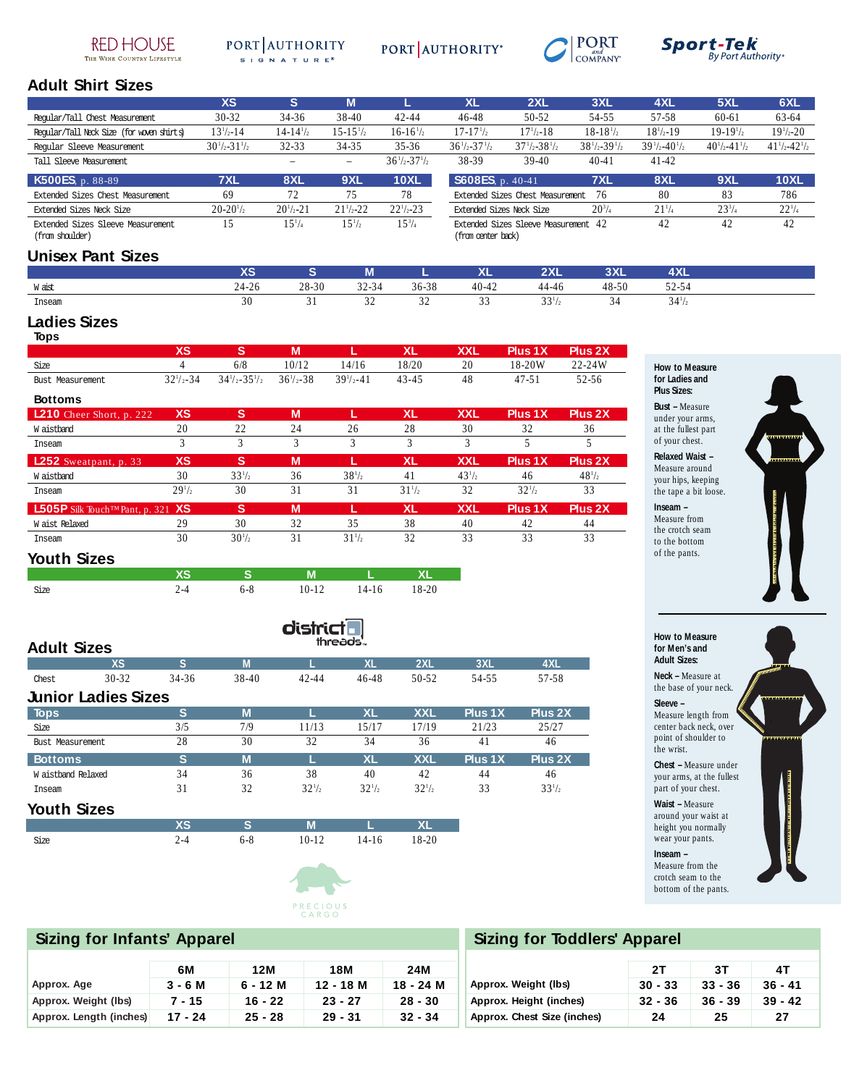#### **RED HOUSE** THE WINE COUNTRY LIFESTYLE

#### PORT AUTHORITY SIGNATURE®





# ${\scriptstyle{\mathit{Sport-Iek}}\atop{\scriptstyle{\mathit{By Port Authority}}\phantom{of}}}}$

## **Adult Shirt Sizes**

|                                           | <b>XS</b>             | s                    | М                    |                       | <b>XL</b>                | 2XL                              | 3XL                   | 4XL                       | 5XL                   | 6XL                   |
|-------------------------------------------|-----------------------|----------------------|----------------------|-----------------------|--------------------------|----------------------------------|-----------------------|---------------------------|-----------------------|-----------------------|
| Regular/Tall Chest Measurement            | $30 - 32$             | 34-36                | 38-40                | $42 - 44$             | $46 - 48$                | 50-52                            | 54-55                 | 57-58                     | 60-61                 | 63-64                 |
| Regular/Tall Neck Size (for woven shirts) | $13^{1/2} - 14$       | $14 - 14\frac{1}{2}$ | $15 - 15\frac{1}{2}$ | $16-16^{1/2}$         | $17 - 171/2$             | $17\frac{1}{2} - 18$             | $18-18^{1/2}$         | $18^{1/2} - 19$           | $19-19^{1/2}$         | $19^{1/2} - 20$       |
| Regular Sleeve Measurement                | $30^{1/2} - 31^{1/2}$ | $32 - 33$            | 34-35                | $35 - 36$             | $36^{1}/2 - 37^{1}/2$    | $37^{1}/_{2}-38^{1}/_{2}$        | $38^{1}/2 - 39^{1}/2$ | $39^{1}/_{2}-40^{1}/_{2}$ | $40^{1/2} - 41^{1/2}$ | $41^{1/2} - 42^{1/2}$ |
| Tall Sleeve Measurement                   |                       |                      | -                    | $36^{1/2} - 37^{1/2}$ | 38-39                    | $39-40$                          | $40 - 41$             | $41 - 42$                 |                       |                       |
|                                           |                       |                      |                      |                       |                          |                                  |                       |                           |                       |                       |
| $K500ESp. 88-89$                          | <b>7XL</b>            | 8XL                  | 9XL                  | <b>10XL</b>           | S608ES. p. 40-41         |                                  | 7XL                   | 8XL                       | <b>9XL</b>            | 10XL                  |
| Extended Sizes Chest Measurement          | 69                    | 72                   | 75                   | 78                    |                          | Extended Sizes Chest Measurement | 76                    | 80                        | 83                    | 786                   |
| Extended Sizes Neck Size                  | $20 - 20^{1/2}$       | $20^{1/2} - 21$      | $21^{1/2} - 22$      | $22^{1/2} - 23$       | Extended Sizes Neck Size |                                  | $20^{3}/_{4}$         | $21\frac{1}{4}$           | $23^{3}/_{4}$         | $22^{1/4}$            |

# **Unisex Pant Sizes**

|        | $\overline{\phantom{a}}$<br>$\overline{\phantom{a}}$ |           | ш             |       | vı<br>^-  | nvi   | <b>SVI</b><br>ᆳᆺ | <b>AXL</b>                       |
|--------|------------------------------------------------------|-----------|---------------|-------|-----------|-------|------------------|----------------------------------|
| W aist |                                                      | $28 - 30$ | 2444          | 36-38 | $40 - 42$ | 44-46 | $48 - 50$        | $\sim$ $\sim$ $\sim$<br>$2 - 54$ |
| Inseam | 30                                                   |           | $\sim$<br>ے د | ے ر   | $\sim$    | 221   | 34               | $34\frac{1}{2}$                  |

### **Ladies Sizes**

|                                                         | <b>XS</b>            | 'S.                             | M               |                 | <b>XL</b>       | <b>XXL</b> | Plus 1X    | Plus 2X    |
|---------------------------------------------------------|----------------------|---------------------------------|-----------------|-----------------|-----------------|------------|------------|------------|
| Size                                                    | 4                    | 6/8                             | 10/12           | 14/16           | 18/20           | 20         | 18-20W     | 22-24W     |
| Bust, Measurement.                                      | $32\frac{1}{2} - 34$ | $34\frac{1}{2} - 35\frac{1}{2}$ | $36^{1/3} - 38$ | $39^{1/2} - 41$ | $43 - 45$       | 48         | $47 - 51$  | 52-56      |
| <b>Bottoms</b>                                          |                      |                                 |                 |                 |                 |            |            |            |
| $\sqrt{210}$ Cheer Short, p. 222                        | <b>XS</b>            | s                               | M               |                 | <b>XL</b>       | <b>XXL</b> | Plus 1X    | Plus 2X    |
| W aistband                                              | 20                   | 22                              | 24              | 26              | 28              | 30         | 32         | 36         |
| Inseam                                                  | 3                    | 3                               | 3               | 3               | 3               | 3          | 5          |            |
| $L252$ Sweatpant, p. 33                                 | <b>XS</b>            | s                               | M               |                 | <b>XL</b>       | <b>XXL</b> | Plus 1X    | Plus 2X    |
| W aistband                                              | 30                   | $33^{1/2}$                      | 36              | $38^{1/2}$      | 41              | $43^{1/2}$ | 46         | $48^{1/2}$ |
| Inseam                                                  | $29^{1/2}$           | 30                              | 31              | 31              | $31\frac{1}{2}$ | 32         | $32^{1/2}$ | 33         |
| <b>L505P</b> Silk Touch <sup>TM</sup> Pant, p. 321 $XS$ |                      | s                               | M               | L               | <b>XL</b>       | <b>XXL</b> | Plus 1X    | Plus 2X    |
| W aist Relaxed                                          | 29                   | 30                              | 32              | 35              | 38              | 40         | 42         | 44         |
| Inseam                                                  | 30                   | $30^{1/2}$                      | 31              | $31\frac{1}{2}$ | 32              | 33         | 33         | 33         |

#### **Youth Sizes**

| Size | 6-8 | $10-12$ | $14-16$ | $18 - 20$ |
|------|-----|---------|---------|-----------|

|                    |                            |           |       | districtl       |                 |                 |         |            |
|--------------------|----------------------------|-----------|-------|-----------------|-----------------|-----------------|---------|------------|
| <b>Adult Sizes</b> |                            |           |       | threads"        |                 |                 |         |            |
|                    | <b>XS</b>                  | s         | M     |                 | <b>XL</b>       | 2XL             | 3XL     | 4XL        |
| Chest              | $30 - 32$                  | $34 - 36$ | 38-40 | 42-44           | $46 - 48$       | 50-52           | 54-55   | 57-58      |
|                    | <b>Junior Ladies Sizes</b> |           |       |                 |                 |                 |         |            |
| <b>Tops</b>        |                            | s         | М     |                 | <b>XL</b>       | <b>XXL</b>      | Plus 1X | Plus 2X    |
| Size               |                            | 3/5       | 7/9   | 11/13           | 15/17           | 17/19           | 21/23   | 25/27      |
| Bust Measurement   |                            | 28        | 30    | 32              | 34              | 36              | 41      | 46         |
| <b>Bottoms</b>     |                            | s         | M     |                 | <b>XL</b>       | <b>XXL</b>      | Plus 1X | Plus 2X    |
| W aistband Relaxed |                            | 34        | 36    | 38              | 40              | 42              | 44      | 46         |
| Inseam             |                            | 31        | 32    | $32\frac{1}{2}$ | $32\frac{1}{2}$ | $32\frac{1}{2}$ | 33      | $33^{1/2}$ |
| <b>Youth Sizes</b> |                            |           |       |                 |                 |                 |         |            |

PRECIOUS<br>CARGO



## **Sizing for Infants' Apparel**

|                         | 6M        | 12M       | <b>18M</b> | 24M       |
|-------------------------|-----------|-----------|------------|-----------|
| Approx. Age             | $3 - 6$ M | 6 - 12 M  | 12 - 18 M  | 18 - 24 M |
| Approx. Weight (lbs)    | $7 - 15$  | 16 - 22   | $23 - 27$  | $28 - 30$ |
| Approx. Length (inches) | 17 - 24   | $25 - 28$ | $29 - 31$  | $32 - 34$ |

# **Sizing for Toddlers' Apparel**

|                             | 2T        | 3T        | 4T        |
|-----------------------------|-----------|-----------|-----------|
| Approx. Weight (lbs)        | $30 - 33$ | $33 - 36$ | $36 - 41$ |
| Approx. Height (inches)     | $32 - 36$ | $36 - 39$ | $39 - 42$ |
| Approx. Chest Size (inches) | 24        | 25        | 27        |

|          | ddddddddddddd<br><b>Abialabialabia</b> |
|----------|----------------------------------------|
| ;<br>se. | mammataka aka aka aka aka aka a        |
|          |                                        |

**How to Measure for Men's and Adult Sizes: Neck –** Measure at

**How to Measure for Ladies and Plus Sizes: Bust –** Measure under your arms, at the fullest part of your chest. **Relaxed Waist –** Measure around your hips, keeping the tape a bit loos **Inseam –** Measure from the crotch seam to the bottom of the pants.

the base of your neck. **Sleeve –**

Measure length from center back neck, over point of shoulder to the wrist.

**Chest –** Measure under your arms, at the fullest part of your chest.

**Waist –** Measure around your waist at height you normally wear your pants.

**Inseam –** Measure from the crotch seam to the bottom of the pants.